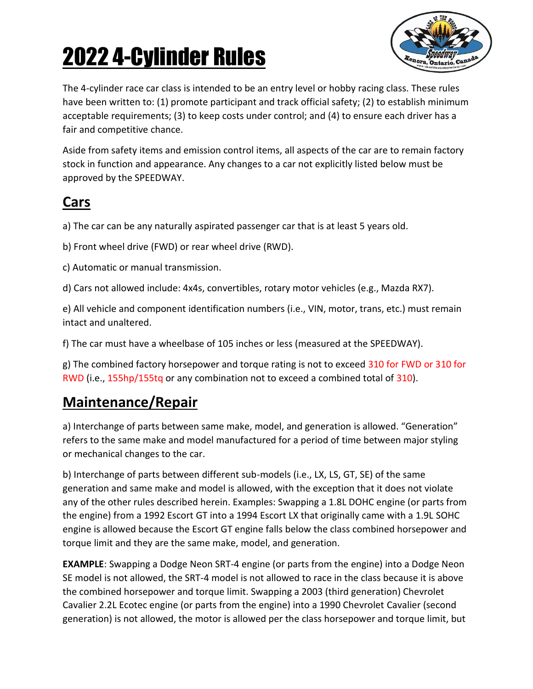

The 4-cylinder race car class is intended to be an entry level or hobby racing class. These rules have been written to: (1) promote participant and track official safety; (2) to establish minimum acceptable requirements; (3) to keep costs under control; and (4) to ensure each driver has a fair and competitive chance.

Aside from safety items and emission control items, all aspects of the car are to remain factory stock in function and appearance. Any changes to a car not explicitly listed below must be approved by the SPEEDWAY.

### **Cars**

a) The car can be any naturally aspirated passenger car that is at least 5 years old.

b) Front wheel drive (FWD) or rear wheel drive (RWD).

c) Automatic or manual transmission.

d) Cars not allowed include: 4x4s, convertibles, rotary motor vehicles (e.g., Mazda RX7).

e) All vehicle and component identification numbers (i.e., VIN, motor, trans, etc.) must remain intact and unaltered.

f) The car must have a wheelbase of 105 inches or less (measured at the SPEEDWAY).

g) The combined factory horsepower and torque rating is not to exceed 310 for FWD or 310 for RWD (i.e., 155hp/155tq or any combination not to exceed a combined total of 310).

### **Maintenance/Repair**

a) Interchange of parts between same make, model, and generation is allowed. "Generation" refers to the same make and model manufactured for a period of time between major styling or mechanical changes to the car.

b) Interchange of parts between different sub-models (i.e., LX, LS, GT, SE) of the same generation and same make and model is allowed, with the exception that it does not violate any of the other rules described herein. Examples: Swapping a 1.8L DOHC engine (or parts from the engine) from a 1992 Escort GT into a 1994 Escort LX that originally came with a 1.9L SOHC engine is allowed because the Escort GT engine falls below the class combined horsepower and torque limit and they are the same make, model, and generation.

**EXAMPLE**: Swapping a Dodge Neon SRT-4 engine (or parts from the engine) into a Dodge Neon SE model is not allowed, the SRT-4 model is not allowed to race in the class because it is above the combined horsepower and torque limit. Swapping a 2003 (third generation) Chevrolet Cavalier 2.2L Ecotec engine (or parts from the engine) into a 1990 Chevrolet Cavalier (second generation) is not allowed, the motor is allowed per the class horsepower and torque limit, but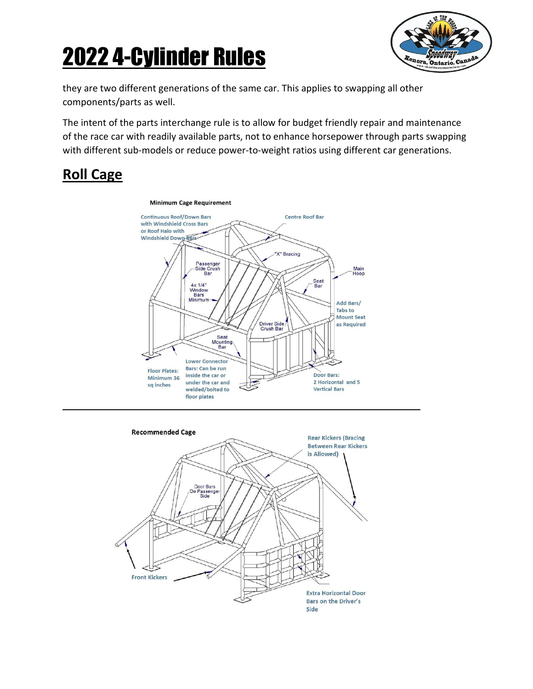

they are two different generations of the same car. This applies to swapping all other components/parts as well.

The intent of the parts interchange rule is to allow for budget friendly repair and maintenance of the race car with readily available parts, not to enhance horsepower through parts swapping with different sub-models or reduce power-to-weight ratios using different car generations.

#### **Roll Cage**



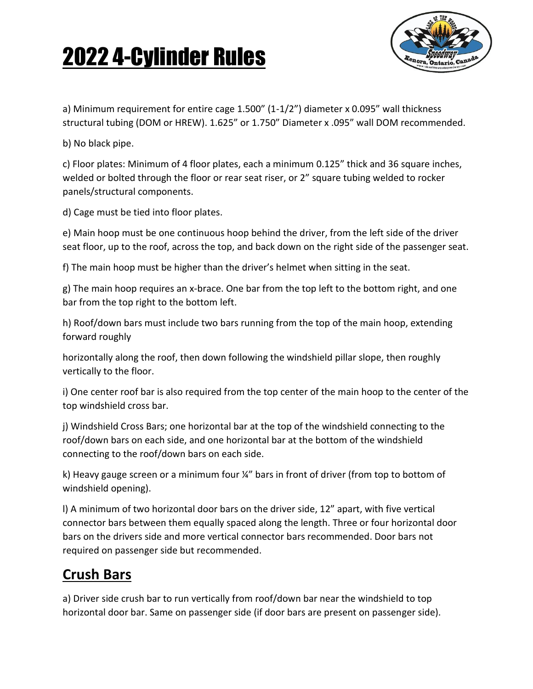

a) Minimum requirement for entire cage 1.500" (1-1/2") diameter x 0.095" wall thickness structural tubing (DOM or HREW). 1.625" or 1.750" Diameter x .095" wall DOM recommended.

b) No black pipe.

c) Floor plates: Minimum of 4 floor plates, each a minimum 0.125" thick and 36 square inches, welded or bolted through the floor or rear seat riser, or 2" square tubing welded to rocker panels/structural components.

d) Cage must be tied into floor plates.

e) Main hoop must be one continuous hoop behind the driver, from the left side of the driver seat floor, up to the roof, across the top, and back down on the right side of the passenger seat.

f) The main hoop must be higher than the driver's helmet when sitting in the seat.

g) The main hoop requires an x-brace. One bar from the top left to the bottom right, and one bar from the top right to the bottom left.

h) Roof/down bars must include two bars running from the top of the main hoop, extending forward roughly

horizontally along the roof, then down following the windshield pillar slope, then roughly vertically to the floor.

i) One center roof bar is also required from the top center of the main hoop to the center of the top windshield cross bar.

j) Windshield Cross Bars; one horizontal bar at the top of the windshield connecting to the roof/down bars on each side, and one horizontal bar at the bottom of the windshield connecting to the roof/down bars on each side.

k) Heavy gauge screen or a minimum four ¼" bars in front of driver (from top to bottom of windshield opening).

l) A minimum of two horizontal door bars on the driver side, 12" apart, with five vertical connector bars between them equally spaced along the length. Three or four horizontal door bars on the drivers side and more vertical connector bars recommended. Door bars not required on passenger side but recommended.

#### **Crush Bars**

a) Driver side crush bar to run vertically from roof/down bar near the windshield to top horizontal door bar. Same on passenger side (if door bars are present on passenger side).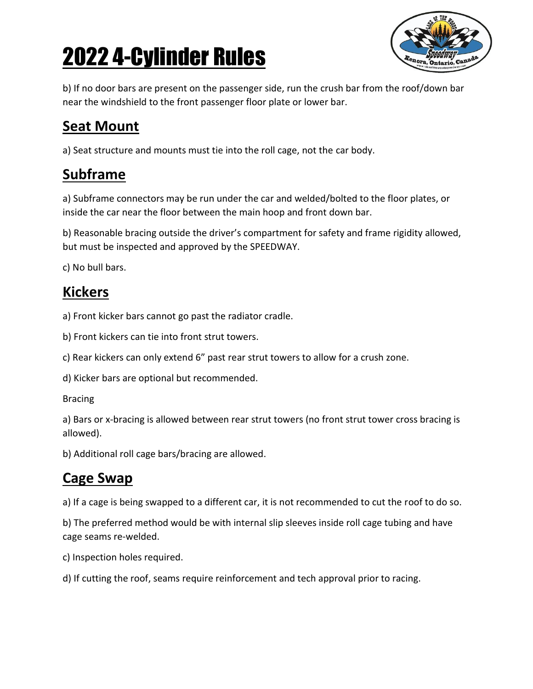

b) If no door bars are present on the passenger side, run the crush bar from the roof/down bar near the windshield to the front passenger floor plate or lower bar.

### **Seat Mount**

a) Seat structure and mounts must tie into the roll cage, not the car body.

#### **Subframe**

a) Subframe connectors may be run under the car and welded/bolted to the floor plates, or inside the car near the floor between the main hoop and front down bar.

b) Reasonable bracing outside the driver's compartment for safety and frame rigidity allowed, but must be inspected and approved by the SPEEDWAY.

c) No bull bars.

### **Kickers**

a) Front kicker bars cannot go past the radiator cradle.

b) Front kickers can tie into front strut towers.

c) Rear kickers can only extend 6" past rear strut towers to allow for a crush zone.

d) Kicker bars are optional but recommended.

#### Bracing

a) Bars or x-bracing is allowed between rear strut towers (no front strut tower cross bracing is allowed).

b) Additional roll cage bars/bracing are allowed.

### **Cage Swap**

a) If a cage is being swapped to a different car, it is not recommended to cut the roof to do so.

b) The preferred method would be with internal slip sleeves inside roll cage tubing and have cage seams re-welded.

c) Inspection holes required.

d) If cutting the roof, seams require reinforcement and tech approval prior to racing.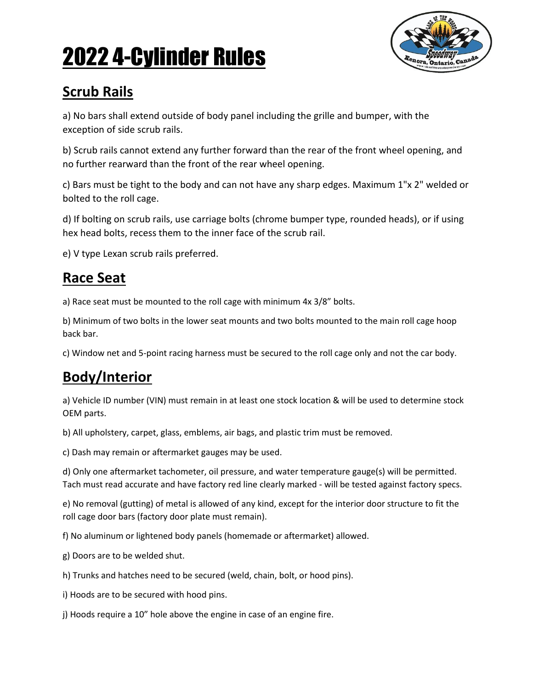

### **Scrub Rails**

a) No bars shall extend outside of body panel including the grille and bumper, with the exception of side scrub rails.

b) Scrub rails cannot extend any further forward than the rear of the front wheel opening, and no further rearward than the front of the rear wheel opening.

c) Bars must be tight to the body and can not have any sharp edges. Maximum 1"x 2" welded or bolted to the roll cage.

d) If bolting on scrub rails, use carriage bolts (chrome bumper type, rounded heads), or if using hex head bolts, recess them to the inner face of the scrub rail.

e) V type Lexan scrub rails preferred.

#### **Race Seat**

a) Race seat must be mounted to the roll cage with minimum 4x 3/8" bolts.

b) Minimum of two bolts in the lower seat mounts and two bolts mounted to the main roll cage hoop back bar.

c) Window net and 5-point racing harness must be secured to the roll cage only and not the car body.

## **Body/Interior**

a) Vehicle ID number (VIN) must remain in at least one stock location & will be used to determine stock OEM parts.

b) All upholstery, carpet, glass, emblems, air bags, and plastic trim must be removed.

c) Dash may remain or aftermarket gauges may be used.

d) Only one aftermarket tachometer, oil pressure, and water temperature gauge(s) will be permitted. Tach must read accurate and have factory red line clearly marked - will be tested against factory specs.

e) No removal (gutting) of metal is allowed of any kind, except for the interior door structure to fit the roll cage door bars (factory door plate must remain).

f) No aluminum or lightened body panels (homemade or aftermarket) allowed.

g) Doors are to be welded shut.

h) Trunks and hatches need to be secured (weld, chain, bolt, or hood pins).

i) Hoods are to be secured with hood pins.

j) Hoods require a 10" hole above the engine in case of an engine fire.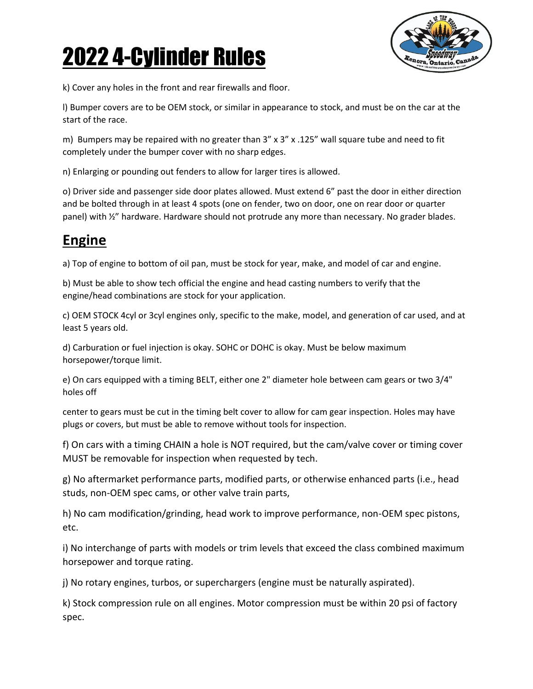

k) Cover any holes in the front and rear firewalls and floor.

l) Bumper covers are to be OEM stock, or similar in appearance to stock, and must be on the car at the start of the race.

m) Bumpers may be repaired with no greater than  $3''$  x  $3''$  x  $.125''$  wall square tube and need to fit completely under the bumper cover with no sharp edges.

n) Enlarging or pounding out fenders to allow for larger tires is allowed.

o) Driver side and passenger side door plates allowed. Must extend 6" past the door in either direction and be bolted through in at least 4 spots (one on fender, two on door, one on rear door or quarter panel) with ½" hardware. Hardware should not protrude any more than necessary. No grader blades.

### **Engine**

a) Top of engine to bottom of oil pan, must be stock for year, make, and model of car and engine.

b) Must be able to show tech official the engine and head casting numbers to verify that the engine/head combinations are stock for your application.

c) OEM STOCK 4cyl or 3cyl engines only, specific to the make, model, and generation of car used, and at least 5 years old.

d) Carburation or fuel injection is okay. SOHC or DOHC is okay. Must be below maximum horsepower/torque limit.

e) On cars equipped with a timing BELT, either one 2" diameter hole between cam gears or two 3/4" holes off

center to gears must be cut in the timing belt cover to allow for cam gear inspection. Holes may have plugs or covers, but must be able to remove without tools for inspection.

f) On cars with a timing CHAIN a hole is NOT required, but the cam/valve cover or timing cover MUST be removable for inspection when requested by tech.

g) No aftermarket performance parts, modified parts, or otherwise enhanced parts (i.e., head studs, non-OEM spec cams, or other valve train parts,

h) No cam modification/grinding, head work to improve performance, non-OEM spec pistons, etc.

i) No interchange of parts with models or trim levels that exceed the class combined maximum horsepower and torque rating.

j) No rotary engines, turbos, or superchargers (engine must be naturally aspirated).

k) Stock compression rule on all engines. Motor compression must be within 20 psi of factory spec.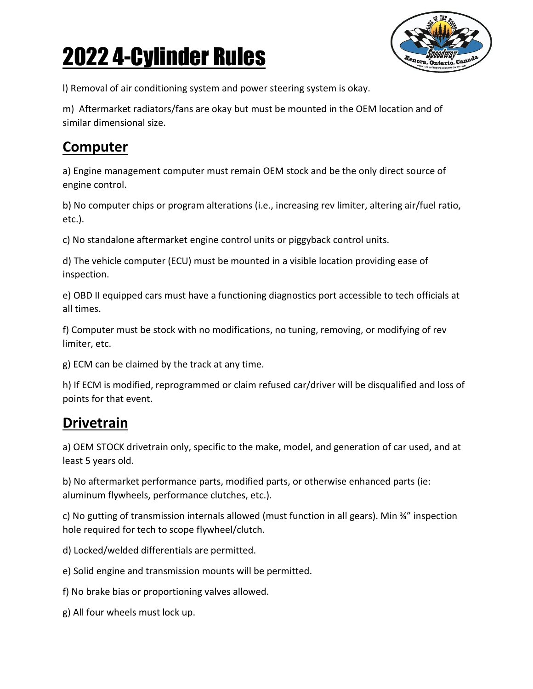

l) Removal of air conditioning system and power steering system is okay.

m) Aftermarket radiators/fans are okay but must be mounted in the OEM location and of similar dimensional size.

### **Computer**

a) Engine management computer must remain OEM stock and be the only direct source of engine control.

b) No computer chips or program alterations (i.e., increasing rev limiter, altering air/fuel ratio, etc.).

c) No standalone aftermarket engine control units or piggyback control units.

d) The vehicle computer (ECU) must be mounted in a visible location providing ease of inspection.

e) OBD II equipped cars must have a functioning diagnostics port accessible to tech officials at all times.

f) Computer must be stock with no modifications, no tuning, removing, or modifying of rev limiter, etc.

g) ECM can be claimed by the track at any time.

h) If ECM is modified, reprogrammed or claim refused car/driver will be disqualified and loss of points for that event.

## **Drivetrain**

a) OEM STOCK drivetrain only, specific to the make, model, and generation of car used, and at least 5 years old.

b) No aftermarket performance parts, modified parts, or otherwise enhanced parts (ie: aluminum flywheels, performance clutches, etc.).

c) No gutting of transmission internals allowed (must function in all gears). Min ¾" inspection hole required for tech to scope flywheel/clutch.

d) Locked/welded differentials are permitted.

e) Solid engine and transmission mounts will be permitted.

f) No brake bias or proportioning valves allowed.

g) All four wheels must lock up.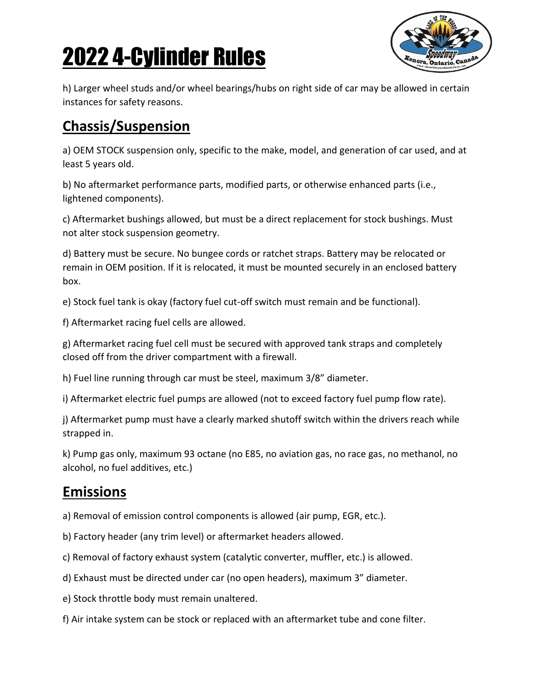

h) Larger wheel studs and/or wheel bearings/hubs on right side of car may be allowed in certain instances for safety reasons.

### **Chassis/Suspension**

a) OEM STOCK suspension only, specific to the make, model, and generation of car used, and at least 5 years old.

b) No aftermarket performance parts, modified parts, or otherwise enhanced parts (i.e., lightened components).

c) Aftermarket bushings allowed, but must be a direct replacement for stock bushings. Must not alter stock suspension geometry.

d) Battery must be secure. No bungee cords or ratchet straps. Battery may be relocated or remain in OEM position. If it is relocated, it must be mounted securely in an enclosed battery box.

e) Stock fuel tank is okay (factory fuel cut-off switch must remain and be functional).

f) Aftermarket racing fuel cells are allowed.

g) Aftermarket racing fuel cell must be secured with approved tank straps and completely closed off from the driver compartment with a firewall.

h) Fuel line running through car must be steel, maximum 3/8" diameter.

i) Aftermarket electric fuel pumps are allowed (not to exceed factory fuel pump flow rate).

j) Aftermarket pump must have a clearly marked shutoff switch within the drivers reach while strapped in.

k) Pump gas only, maximum 93 octane (no E85, no aviation gas, no race gas, no methanol, no alcohol, no fuel additives, etc.)

#### **Emissions**

a) Removal of emission control components is allowed (air pump, EGR, etc.).

b) Factory header (any trim level) or aftermarket headers allowed.

c) Removal of factory exhaust system (catalytic converter, muffler, etc.) is allowed.

d) Exhaust must be directed under car (no open headers), maximum 3" diameter.

e) Stock throttle body must remain unaltered.

f) Air intake system can be stock or replaced with an aftermarket tube and cone filter.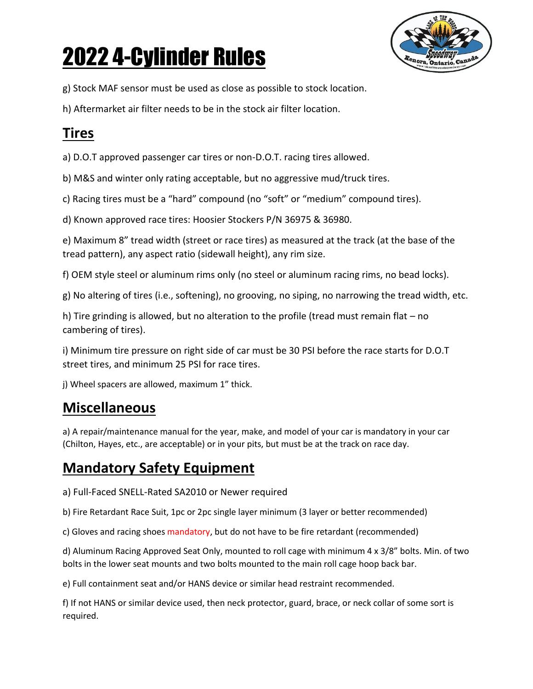

g) Stock MAF sensor must be used as close as possible to stock location.

h) Aftermarket air filter needs to be in the stock air filter location.

### **Tires**

a) D.O.T approved passenger car tires or non-D.O.T. racing tires allowed.

b) M&S and winter only rating acceptable, but no aggressive mud/truck tires.

c) Racing tires must be a "hard" compound (no "soft" or "medium" compound tires).

d) Known approved race tires: Hoosier Stockers P/N 36975 & 36980.

e) Maximum 8" tread width (street or race tires) as measured at the track (at the base of the tread pattern), any aspect ratio (sidewall height), any rim size.

f) OEM style steel or aluminum rims only (no steel or aluminum racing rims, no bead locks).

g) No altering of tires (i.e., softening), no grooving, no siping, no narrowing the tread width, etc.

h) Tire grinding is allowed, but no alteration to the profile (tread must remain flat – no cambering of tires).

i) Minimum tire pressure on right side of car must be 30 PSI before the race starts for D.O.T street tires, and minimum 25 PSI for race tires.

j) Wheel spacers are allowed, maximum 1" thick.

#### **Miscellaneous**

a) A repair/maintenance manual for the year, make, and model of your car is mandatory in your car (Chilton, Hayes, etc., are acceptable) or in your pits, but must be at the track on race day.

### **Mandatory Safety Equipment**

a) Full-Faced SNELL-Rated SA2010 or Newer required

b) Fire Retardant Race Suit, 1pc or 2pc single layer minimum (3 layer or better recommended)

c) Gloves and racing shoes mandatory, but do not have to be fire retardant (recommended)

d) Aluminum Racing Approved Seat Only, mounted to roll cage with minimum 4 x 3/8" bolts. Min. of two bolts in the lower seat mounts and two bolts mounted to the main roll cage hoop back bar.

e) Full containment seat and/or HANS device or similar head restraint recommended.

f) If not HANS or similar device used, then neck protector, guard, brace, or neck collar of some sort is required.